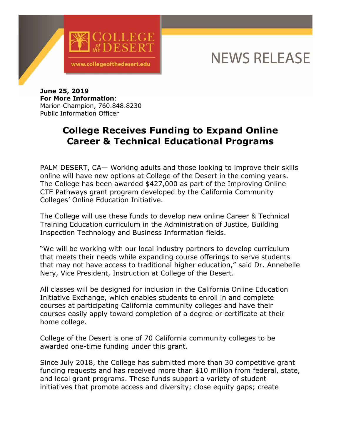

## **NEWS RELEASE**

**June 25, 2019 For More Information**: Marion Champion, 760.848.8230 Public Information Officer

## **College Receives Funding to Expand Online Career & Technical Educational Programs**

PALM DESERT, CA— Working adults and those looking to improve their skills online will have new options at College of the Desert in the coming years. The College has been awarded \$427,000 as part of the Improving Online CTE Pathways grant program developed by the California Community Colleges' Online Education Initiative.

The College will use these funds to develop new online Career & Technical Training Education curriculum in the Administration of Justice, Building Inspection Technology and Business Information fields.

"We will be working with our local industry partners to develop curriculum that meets their needs while expanding course offerings to serve students that may not have access to traditional higher education," said Dr. Annebelle Nery, Vice President, Instruction at College of the Desert.

All classes will be designed for inclusion in the California Online Education Initiative Exchange, which enables students to enroll in and complete courses at participating California community colleges and have their courses easily apply toward completion of a degree or certificate at their home college.

College of the Desert is one of 70 California community colleges to be awarded one-time funding under this grant.

Since July 2018, the College has submitted more than 30 competitive grant funding requests and has received more than \$10 million from federal, state, and local grant programs. These funds support a variety of student initiatives that promote access and diversity; close equity gaps; create